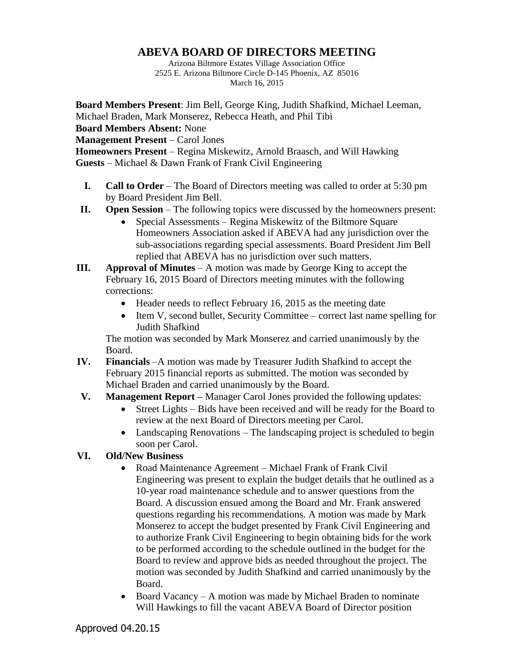## **ABEVA BOARD OF DIRECTORS MEETING**

Arizona Biltmore Estates Village Association Office 2525 E. Arizona Biltmore Circle D-145 Phoenix, AZ 85016 March 16, 2015

**Board Members Present**: Jim Bell, George King, Judith Shafkind, Michael Leeman, Michael Braden, Mark Monserez, Rebecca Heath, and Phil Tibi

**Board Members Absent:** None

**Management Present** – Carol Jones

**Homeowners Present** – Regina Miskewitz, Arnold Braasch, and Will Hawking **Guests** – Michael & Dawn Frank of Frank Civil Engineering

- **I. Call to Order** The Board of Directors meeting was called to order at 5:30 pm by Board President Jim Bell.
- **II. Open Session** The following topics were discussed by the homeowners present:
	- Special Assessments Regina Miskewitz of the Biltmore Square Homeowners Association asked if ABEVA had any jurisdiction over the sub-associations regarding special assessments. Board President Jim Bell replied that ABEVA has no jurisdiction over such matters.
- **III. Approval of Minutes** A motion was made by George King to accept the February 16, 2015 Board of Directors meeting minutes with the following corrections:
	- Header needs to reflect February 16, 2015 as the meeting date
	- Item V, second bullet, Security Committee correct last name spelling for Judith Shafkind

The motion was seconded by Mark Monserez and carried unanimously by the Board.

- **IV. Financials** –A motion was made by Treasurer Judith Shafkind to accept the February 2015 financial reports as submitted. The motion was seconded by Michael Braden and carried unanimously by the Board.
- **V. Management Report –** Manager Carol Jones provided the following updates:
	- Street Lights Bids have been received and will be ready for the Board to review at the next Board of Directors meeting per Carol.
	- Landscaping Renovations The landscaping project is scheduled to begin soon per Carol.

## **VI. Old/New Business**

- Road Maintenance Agreement Michael Frank of Frank Civil Engineering was present to explain the budget details that he outlined as a 10-year road maintenance schedule and to answer questions from the Board. A discussion ensued among the Board and Mr. Frank answered questions regarding his recommendations. A motion was made by Mark Monserez to accept the budget presented by Frank Civil Engineering and to authorize Frank Civil Engineering to begin obtaining bids for the work to be performed according to the schedule outlined in the budget for the Board to review and approve bids as needed throughout the project. The motion was seconded by Judith Shafkind and carried unanimously by the Board.
- Board Vacancy A motion was made by Michael Braden to nominate Will Hawkings to fill the vacant ABEVA Board of Director position